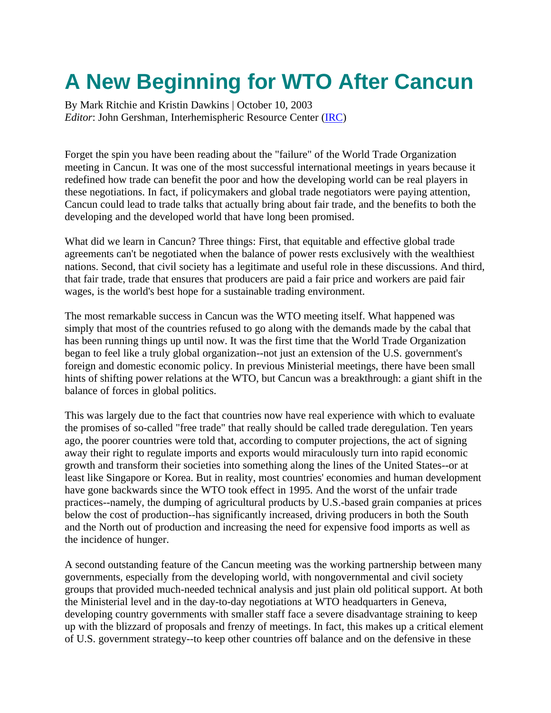## **A New Beginning for WTO After Cancun**

By Mark Ritchie and Kristin Dawkins | October 10, 2003 *Editor*: John Gershman, Interhemispheric Resource Center (IRC)

Forget the spin you have been reading about the "failure" of the World Trade Organization meeting in Cancun. It was one of the most successful international meetings in years because it redefined how trade can benefit the poor and how the developing world can be real players in these negotiations. In fact, if policymakers and global trade negotiators were paying attention, Cancun could lead to trade talks that actually bring about fair trade, and the benefits to both the developing and the developed world that have long been promised.

What did we learn in Cancun? Three things: First, that equitable and effective global trade agreements can't be negotiated when the balance of power rests exclusively with the wealthiest nations. Second, that civil society has a legitimate and useful role in these discussions. And third, that fair trade, trade that ensures that producers are paid a fair price and workers are paid fair wages, is the world's best hope for a sustainable trading environment.

The most remarkable success in Cancun was the WTO meeting itself. What happened was simply that most of the countries refused to go along with the demands made by the cabal that has been running things up until now. It was the first time that the World Trade Organization began to feel like a truly global organization--not just an extension of the U.S. government's foreign and domestic economic policy. In previous Ministerial meetings, there have been small hints of shifting power relations at the WTO, but Cancun was a breakthrough: a giant shift in the balance of forces in global politics.

This was largely due to the fact that countries now have real experience with which to evaluate the promises of so-called "free trade" that really should be called trade deregulation. Ten years ago, the poorer countries were told that, according to computer projections, the act of signing away their right to regulate imports and exports would miraculously turn into rapid economic growth and transform their societies into something along the lines of the United States--or at least like Singapore or Korea. But in reality, most countries' economies and human development have gone backwards since the WTO took effect in 1995. And the worst of the unfair trade practices--namely, the dumping of agricultural products by U.S.-based grain companies at prices below the cost of production--has significantly increased, driving producers in both the South and the North out of production and increasing the need for expensive food imports as well as the incidence of hunger.

A second outstanding feature of the Cancun meeting was the working partnership between many governments, especially from the developing world, with nongovernmental and civil society groups that provided much-needed technical analysis and just plain old political support. At both the Ministerial level and in the day-to-day negotiations at WTO headquarters in Geneva, developing country governments with smaller staff face a severe disadvantage straining to keep up with the blizzard of proposals and frenzy of meetings. In fact, this makes up a critical element of U.S. government strategy--to keep other countries off balance and on the defensive in these